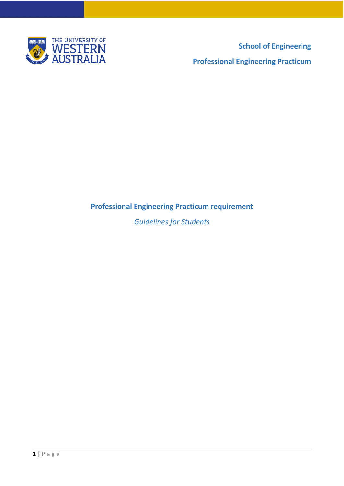

**School of Engineering Professional Engineering Practicum**

# **Professional Engineering Practicum requirement**

*Guidelines for Students*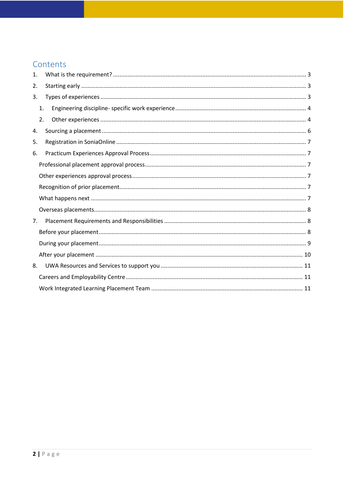# Contents

| 1.             |    |  |
|----------------|----|--|
| 2.             |    |  |
| 3.             |    |  |
|                | 1. |  |
|                | 2. |  |
| 4.             |    |  |
| 5.             |    |  |
| 6.             |    |  |
|                |    |  |
|                |    |  |
|                |    |  |
|                |    |  |
|                |    |  |
| 7 <sub>1</sub> |    |  |
|                |    |  |
|                |    |  |
|                |    |  |
|                |    |  |
| 8.             |    |  |
|                |    |  |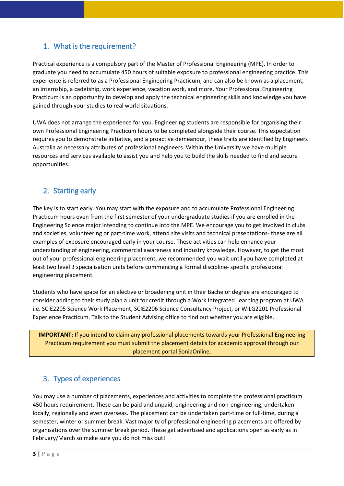## <span id="page-2-0"></span>1. What is the requirement?

Practical experience is a compulsory part of the Master of Professional Engineering (MPE). In order to graduate you need to accumulate 450 hours of suitable exposure to professional engineering practice. This experience is referred to as a Professional Engineering Practicum, and can also be known as a placement, an internship, a cadetship, work experience, vacation work, and more. Your Professional Engineering Practicum is an opportunity to develop and apply the technical engineering skills and knowledge you have gained through your studies to real world situations.

UWA does not arrange the experience for you. Engineering students are responsible for organising their own Professional Engineering Practicum hours to be completed alongside their course. This expectation requires you to demonstrate initiative, and a proactive demeanour, these traits are identified by Engineers Australia as necessary attributes of professional engineers. Within the University we have multiple resources and services available to assist you and help you to build the skills needed to find and secure opportunities.

## <span id="page-2-1"></span>2. Starting early

The key is to start early. You may start with the exposure and to accumulate Professional Engineering Practicum hours even from the first semester of your undergraduate studies if you are enrolled in the Engineering Science major intending to continue into the MPE. We encourage you to get involved in clubs and societies, volunteering or part-time work, attend site visits and technical presentations- these are all examples of exposure encouraged early in your course. These activities can help enhance your understanding of engineering, commercial awareness and industry knowledge. However, to get the most out of your professional engineering placement, we recommended you wait until you have completed at least two level 3 specialisation units before commencing a formal discipline- specific professional engineering placement.

Students who have space for an elective or broadening unit in their Bachelor degree are encouraged to consider adding to their study plan a unit for credit through a Work Integrated Learning program at UWA i.e. SCIE2205 Science Work Placement, SCIE2206 Science Consultancy Project, or WILG2201 Professional Experience Practicum. Talk to the Student Advising office to find out whether you are eligible.

**IMPORTANT:** If you intend to claim any professional placements towards your Professional Engineering Practicum requirement you must submit the placement details for academic approval through our placement portal SoniaOnline.

## <span id="page-2-2"></span>3. Types of experiences

You may use a number of placements, experiences and activities to complete the professional practicum 450 hours requirement. These can be paid and unpaid, engineering and non-engineering, undertaken locally, regionally and even overseas. The placement can be undertaken part-time or full-time, during a semester, winter or summer break. Vast majority of professional engineering placements are offered by organisations over the summer break period. These get advertised and applications open as early as in February/March so make sure you do not miss out!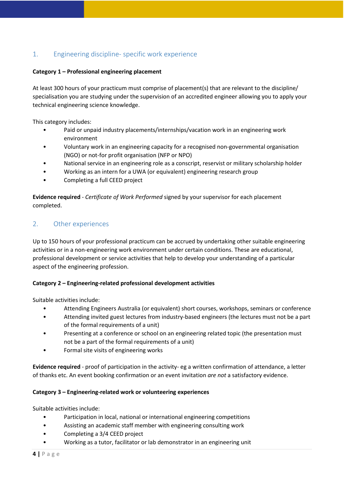## <span id="page-3-0"></span>1. Engineering discipline- specific work experience

#### **Category 1 – Professional engineering placement**

At least 300 hours of your practicum must comprise of placement(s) that are relevant to the discipline/ specialisation you are studying under the supervision of an accredited engineer allowing you to apply your technical engineering science knowledge.

This category includes:

- Paid or unpaid industry placements/internships/vacation work in an engineering work environment
- Voluntary work in an engineering capacity for a recognised non-governmental organisation (NGO) or not-for profit organisation (NFP or NPO)
- National service in an engineering role as a conscript, reservist or military scholarship holder
- Working as an intern for a UWA (or equivalent) engineering research group
- Completing a full CEED project

**Evidence required** - *Certificate of Work Performed* signed by your supervisor for each placement completed.

### <span id="page-3-1"></span>2. Other experiences

Up to 150 hours of your professional practicum can be accrued by undertaking other suitable engineering activities or in a non-engineering work environment under certain conditions. These are educational, professional development or service activities that help to develop your understanding of a particular aspect of the engineering profession.

#### **Category 2 – Engineering-related professional development activities**

Suitable activities include:

- Attending Engineers Australia (or equivalent) short courses, workshops, seminars or conference
- Attending invited guest lectures from industry-based engineers (the lectures must not be a part of the formal requirements of a unit)
- Presenting at a conference or school on an engineering related topic (the presentation must not be a part of the formal requirements of a unit)
- Formal site visits of engineering works

**Evidence required** - proof of participation in the activity- eg a written confirmation of attendance, a letter of thanks etc. An event booking confirmation or an event invitation *are not* a satisfactory evidence.

#### **Category 3 – Engineering-related work or volunteering experiences**

Suitable activities include:

- Participation in local, national or international engineering competitions
- Assisting an academic staff member with engineering consulting work
- Completing a 3/4 CEED project
- Working as a tutor, facilitator or lab demonstrator in an engineering unit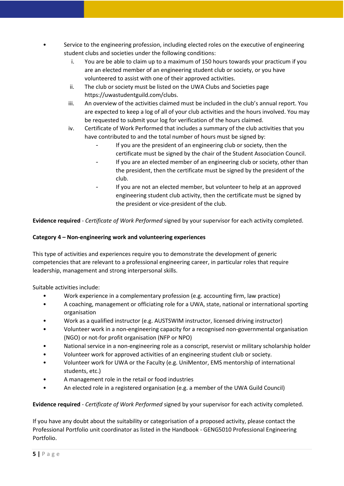- Service to the engineering profession, including elected roles on the executive of engineering student clubs and societies under the following conditions:
	- i. You are be able to claim up to a maximum of 150 hours towards your practicum if you are an elected member of an engineering student club or society, or you have volunteered to assist with one of their approved activities.
	- ii. The club or society must be listed on the UWA Clubs and Societies page https://uwastudentguild.com/clubs.
	- iii. An overview of the activities claimed must be included in the club's annual report. You are expected to keep a log of all of your club activities and the hours involved. You may be requested to submit your log for verification of the hours claimed.
	- iv. Certificate of Work Performed that includes a summary of the club activities that you have contributed to and the total number of hours must be signed by:
		- If you are the president of an engineering club or society, then the certificate must be signed by the chair of the Student Association Council.
		- If you are an elected member of an engineering club or society, other than the president, then the certificate must be signed by the president of the club.
		- If you are not an elected member, but volunteer to help at an approved engineering student club activity, then the certificate must be signed by the president or vice-president of the club.

**Evidence required** - *Certificate of Work Performed* signed by your supervisor for each activity completed.

### **Category 4 – Non-engineering work and volunteering experiences**

This type of activities and experiences require you to demonstrate the development of generic competencies that are relevant to a professional engineering career, in particular roles that require leadership, management and strong interpersonal skills.

Suitable activities include:

- Work experience in a complementary profession (e.g. accounting firm, law practice)
- A coaching, management or officiating role for a UWA, state, national or international sporting organisation
- Work as a qualified instructor (e.g. AUSTSWIM instructor, licensed driving instructor)
- Volunteer work in a non-engineering capacity for a recognised non-governmental organisation (NGO) or not-for profit organisation (NFP or NPO)
- National service in a non-engineering role as a conscript, reservist or military scholarship holder
- Volunteer work for approved activities of an engineering student club or society.
- Volunteer work for UWA or the Faculty (e.g. UniMentor, EMS mentorship of international students, etc.)
- A management role in the retail or food industries
- An elected role in a registered organisation (e.g. a member of the UWA Guild Council)

**Evidence required** - *Certificate of Work Performed* signed by your supervisor for each activity completed.

If you have any doubt about the suitability or categorisation of a proposed activity, please contact the Professional Portfolio unit coordinator as listed in the Handbook - GENG5010 Professional Engineering Portfolio.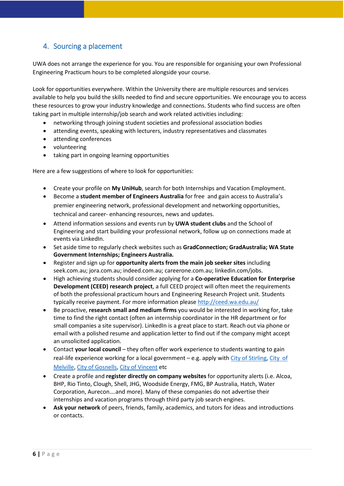## <span id="page-5-0"></span>4. Sourcing a placement

UWA does not arrange the experience for you. You are responsible for organising your own Professional Engineering Practicum hours to be completed alongside your course.

Look for opportunities everywhere. Within the University there are multiple resources and services available to help you build the skills needed to find and secure opportunities. We encourage you to access these resources to grow your industry knowledge and connections. Students who find success are often taking part in multiple internship/job search and work related activities including:

- networking through joining student societies and professional association bodies
- attending events, speaking with lecturers, industry representatives and classmates
- attending conferences
- volunteering
- taking part in ongoing learning opportunities

Here are a few suggestions of where to look for opportunities:

- Create your profile on **My UniHub**, search for both Internships and Vacation Employment.
- Become a **student member of Engineers Australia** for free and gain access to Australia's premier engineering network, professional development and networking opportunities, technical and career- enhancing resources, news and updates.
- Attend information sessions and events run by **UWA student clubs** and the School of Engineering and start building your professional network, follow up on connections made at events via LinkedIn.
- Set aside time to regularly check websites such as **GradConnection; GradAustralia; WA State Government Internships; Engineers Australia.**
- Register and sign up for **opportunity alerts from the main job seeker sites** including seek.com.au; jora.com.au; indeed.com.au; careerone.com.au; linkedin.com/jobs.
- High achieving students should consider applying for a **Co-operative Education for Enterprise Development (CEED) research project**, a full CEED project will often meet the requirements of both the professional practicum hours and Engineering Research Project unit. Students typically receive payment. For more information please<http://ceed.wa.edu.au/>
- Be proactive, **research small and medium firms** you would be interested in working for, take time to find the right contact (often an internship coordinator in the HR department or for small companies a site supervisor). LinkedIn is a great place to start. Reach out via phone or email with a polished resume and application letter to find out if the company might accept an unsolicited application.
- Contact **your local council** they often offer work experience to students wanting to gain real-life experience working for a local government – e.g. apply with [City of Stirling,](https://www.stirling.wa.gov.au/your-city/careers/work-experience) [City of](https://www.melvillecity.com.au/our-city/careers-and-working-with-us/work-experience-online-application-form)  [Melville,](https://www.melvillecity.com.au/our-city/careers-and-working-with-us/work-experience-online-application-form) [City of Gosnells,](https://www.gosnells.wa.gov.au/Employment/Work_experience_placement_request_form) [City of Vincent](https://www.vincent.wa.gov.au/council/careers/work-experience.aspx) etc
- Create a profile and **register directly on company websites** for opportunity alerts (i.e. Alcoa, BHP, Rio Tinto, Clough, Shell, JHG, Woodside Energy, FMG, BP Australia, Hatch, Water Corporation, Aurecon….and more). Many of these companies do not advertise their internships and vacation programs through third party job search engines.
- **Ask your network** of peers, friends, family, academics, and tutors for ideas and introductions or contacts.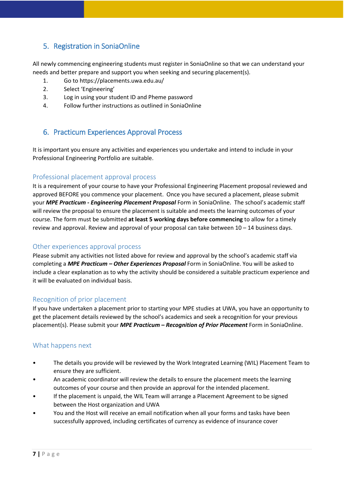## <span id="page-6-0"></span>5. Registration in SoniaOnline

All newly commencing engineering students must register in SoniaOnline so that we can understand your needs and better prepare and support you when seeking and securing placement(s).

- 1. Go to https://placements.uwa.edu.au/
- 2. Select 'Engineering'
- 3. Log in using your student ID and Pheme password
- 4. Follow further instructions as outlined in SoniaOnline

## <span id="page-6-1"></span>6. Practicum Experiences Approval Process

It is important you ensure any activities and experiences you undertake and intend to include in your Professional Engineering Portfolio are suitable.

### <span id="page-6-2"></span>Professional placement approval process

It is a requirement of your course to have your Professional Engineering Placement proposal reviewed and approved BEFORE you commence your placement. Once you have secured a placement, please submit your *MPE Practicum - Engineering Placement Proposal* Form in SoniaOnline. The school's academic staff will review the proposal to ensure the placement is suitable and meets the learning outcomes of your course. The form must be submitted **at least 5 working days before commencing** to allow for a timely review and approval. Review and approval of your proposal can take between 10 – 14 business days.

### <span id="page-6-3"></span>Other experiences approval process

Please submit any activities not listed above for review and approval by the school's academic staff via completing a *MPE Practicum – Other Experiences Proposal* Form in SoniaOnline. You will be asked to include a clear explanation as to why the activity should be considered a suitable practicum experience and it will be evaluated on individual basis.

## <span id="page-6-4"></span>Recognition of prior placement

If you have undertaken a placement prior to starting your MPE studies at UWA, you have an opportunity to get the placement details reviewed by the school's academics and seek a recognition for your previous placement(s). Please submit your *MPE Practicum – Recognition of Prior Placement* Form in SoniaOnline.

### <span id="page-6-5"></span>What happens next

- The details you provide will be reviewed by the Work Integrated Learning (WIL) Placement Team to ensure they are sufficient.
- An academic coordinator will review the details to ensure the placement meets the learning outcomes of your course and then provide an approval for the intended placement.
- If the placement is unpaid, the WIL Team will arrange a Placement Agreement to be signed between the Host organization and UWA
- You and the Host will receive an email notification when all your forms and tasks have been successfully approved, including certificates of currency as evidence of insurance cover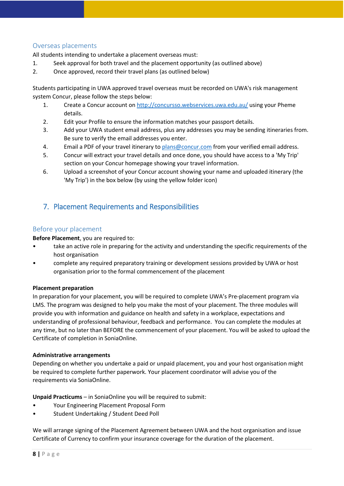### <span id="page-7-0"></span>Overseas placements

All students intending to undertake a placement overseas must:

- 1. Seek approval for both travel and the placement opportunity (as outlined above)
- 2. Once approved, record their travel plans (as outlined below)

Students participating in UWA approved travel overseas must be recorded on UWA's risk management system Concur, please follow the steps below:

- 1. Create a Concur account on<http://concursso.webservices.uwa.edu.au/> using your Pheme details.
- 2. Edit your Profile to ensure the information matches your passport details.
- 3. Add your UWA student email address, plus any addresses you may be sending itineraries from. Be sure to verify the email addresses you enter.
- 4. Email a PDF of your travel itinerary t[o plans@concur.com](mailto:plans@concur.com) from your verified email address.
- 5. Concur will extract your travel details and once done, you should have access to a 'My Trip' section on your Concur homepage showing your travel information.
- 6. Upload a screenshot of your Concur account showing your name and uploaded itinerary (the 'My Trip') in the box below (by using the yellow folder icon)

## <span id="page-7-1"></span>7. Placement Requirements and Responsibilities

### <span id="page-7-2"></span>Before your placement

**Before Placement**, you are required to:

- take an active role in preparing for the activity and understanding the specific requirements of the host organisation
- complete any required preparatory training or development sessions provided by UWA or host organisation prior to the formal commencement of the placement

#### **Placement preparation**

In preparation for your placement, you will be required to complete UWA's Pre-placement program via LMS. The program was designed to help you make the most of your placement. The three modules will provide you with information and guidance on health and safety in a workplace, expectations and understanding of professional behaviour, feedback and performance. You can complete the modules at any time, but no later than BEFORE the commencement of your placement. You will be asked to upload the Certificate of completion in SoniaOnline.

#### **Administrative arrangements**

Depending on whether you undertake a paid or unpaid placement, you and your host organisation might be required to complete further paperwork. Your placement coordinator will advise you of the requirements via SoniaOnline.

**Unpaid Practicums** – in SoniaOnline you will be required to submit:

- Your Engineering Placement Proposal Form
- Student Undertaking / Student Deed Poll

We will arrange signing of the Placement Agreement between UWA and the host organisation and issue Certificate of Currency to confirm your insurance coverage for the duration of the placement.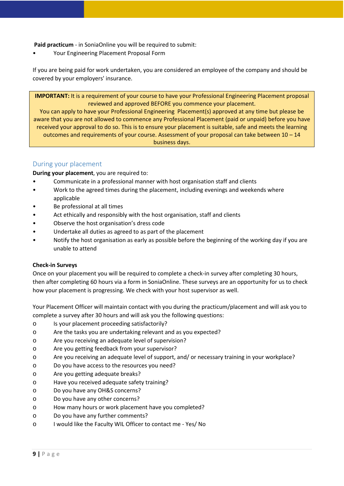**Paid practicum** - in SoniaOnline you will be required to submit:

• Your Engineering Placement Proposal Form

If you are being paid for work undertaken, you are considered an employee of the company and should be covered by your employers' insurance.

**IMPORTANT:** It is a requirement of your course to have your Professional Engineering Placement proposal reviewed and approved BEFORE you commence your placement.

You can apply to have your Professional Engineering Placement(s) approved at any time but please be aware that you are not allowed to commence any Professional Placement (paid or unpaid) before you have received your approval to do so. This is to ensure your placement is suitable, safe and meets the learning outcomes and requirements of your course. Assessment of your proposal can take between 10 – 14 business days.

### <span id="page-8-0"></span>During your placement

**During your placement**, you are required to:

- Communicate in a professional manner with host organisation staff and clients
- Work to the agreed times during the placement, including evenings and weekends where applicable
- Be professional at all times
- Act ethically and responsibly with the host organisation, staff and clients
- Observe the host organisation's dress code
- Undertake all duties as agreed to as part of the placement
- Notify the host organisation as early as possible before the beginning of the working day if you are unable to attend

#### **Check-in Surveys**

Once on your placement you will be required to complete a check-in survey after completing 30 hours, then after completing 60 hours via a form in SoniaOnline. These surveys are an opportunity for us to check how your placement is progressing. We check with your host supervisor as well.

Your Placement Officer will maintain contact with you during the practicum/placement and will ask you to complete a survey after 30 hours and will ask you the following questions:

- o Is your placement proceeding satisfactorily?
- o Are the tasks you are undertaking relevant and as you expected?
- o Are you receiving an adequate level of supervision?
- o Are you getting feedback from your supervisor?
- o Are you receiving an adequate level of support, and/ or necessary training in your workplace?
- o Do you have access to the resources you need?
- o Are you getting adequate breaks?
- o Have you received adequate safety training?
- o Do you have any OH&S concerns?
- o Do you have any other concerns?
- o How many hours or work placement have you completed?
- o Do you have any further comments?
- o I would like the Faculty WIL Officer to contact me Yes/ No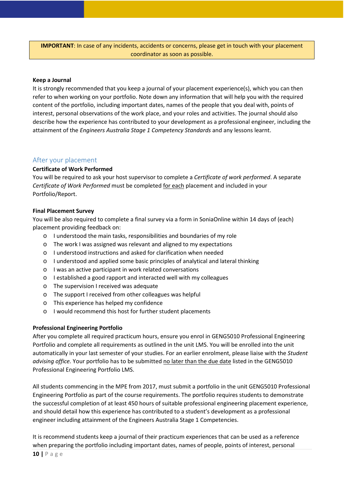**IMPORTANT**: In case of any incidents, accidents or concerns, please get in touch with your placement coordinator as soon as possible.

#### **Keep a Journal**

It is strongly recommended that you keep a journal of your placement experience(s), which you can then refer to when working on your portfolio. Note down any information that will help you with the required content of the portfolio, including important dates, names of the people that you deal with, points of interest, personal observations of the work place, and your roles and activities. The journal should also describe how the experience has contributed to your development as a professional engineer, including the attainment of the *Engineers Australia Stage 1 Competency Standards* and any lessons learnt.

#### <span id="page-9-0"></span>After your placement

#### **Certificate of Work Performed**

You will be required to ask your host supervisor to complete a *Certificate of work performed*. A separate *Certificate of Work Performed* must be completed for each placement and included in your Portfolio/Report.

#### **Final Placement Survey**

You will be also required to complete a final survey via a form in SoniaOnline within 14 days of (each) placement providing feedback on:

- o I understood the main tasks, responsibilities and boundaries of my role
- o The work I was assigned was relevant and aligned to my expectations
- o I understood instructions and asked for clarification when needed
- o I understood and applied some basic principles of analytical and lateral thinking
- o I was an active participant in work related conversations
- o I established a good rapport and interacted well with my colleagues
- o The supervision I received was adequate
- o The support I received from other colleagues was helpful
- o This experience has helped my confidence
- o I would recommend this host for further student placements

#### **Professional Engineering Portfolio**

After you complete all required practicum hours, ensure you enrol in GENG5010 Professional Engineering Portfolio and complete all requirements as outlined in the unit LMS. You will be enrolled into the unit automatically in your last semester of your studies. For an earlier enrolment, please liaise with the *Student*  advising office. Your portfolio has to be submitted no later than the due date listed in the GENG5010 Professional Engineering Portfolio LMS.

All students commencing in the MPE from 2017, must submit a portfolio in the unit GENG5010 Professional Engineering Portfolio as part of the course requirements. The portfolio requires students to demonstrate the successful completion of at least 450 hours of suitable professional engineering placement experience, and should detail how this experience has contributed to a student's development as a professional engineer including attainment of the Engineers Australia Stage 1 Competencies.

It is recommend students keep a journal of their practicum experiences that can be used as a reference when preparing the portfolio including important dates, names of people, points of interest, personal